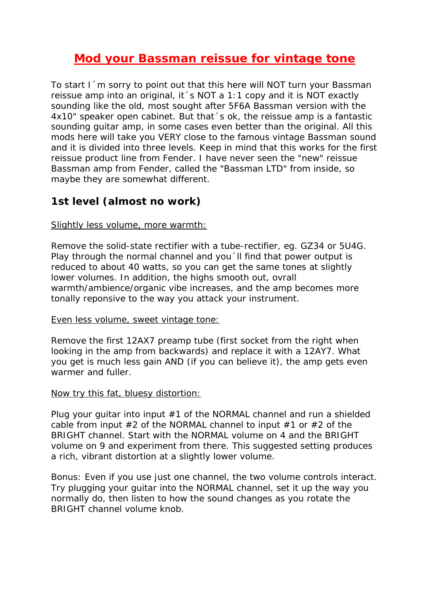# **Mod your Bassman reissue for vintage tone**

To start I´m sorry to point out that this here will NOT turn your Bassman reissue amp into an original, it´s NOT a 1:1 copy and it is NOT exactly sounding like the old, most sought after 5F6A Bassman version with the 4x10" speaker open cabinet. But that´s ok, the reissue amp is a fantastic sounding guitar amp, in some cases even better than the original. All this mods here will take you VERY close to the famous vintage Bassman sound and it is divided into three levels. Keep in mind that this works for the first reissue product line from Fender. I have never seen the "new" reissue Bassman amp from Fender, called the "Bassman LTD" from inside, so maybe they are somewhat different.

## **1st level (almost no work)**

### Slightly less volume, more warmth:

Remove the solid-state rectifier with a tube-rectifier, eg. GZ34 or 5U4G. Play through the normal channel and you II find that power output is reduced to about 40 watts, so you can get the same tones at slightly lower volumes. In addition, the highs smooth out, ovrall warmth/ambience/organic vibe increases, and the amp becomes more tonally reponsive to the way you attack your instrument.

#### Even less volume, sweet vintage tone:

Remove the first 12AX7 preamp tube (first socket from the right when looking in the amp from backwards) and replace it with a 12AY7. What you get is much less gain AND (if you can believe it), the amp gets even warmer and fuller.

#### Now try this fat, bluesy distortion:

Plug your quitar into input  $#1$  of the NORMAL channel and run a shielded cable from input  $#2$  of the NORMAL channel to input  $#1$  or  $#2$  of the BRIGHT channel. Start with the NORMAL volume on 4 and the BRIGHT volume on 9 and experiment from there. This suggested setting produces a rich, vibrant distortion at a slightly lower volume.

Bonus: Even if you use just one channel, the two volume controls interact. Try plugging your guitar into the NORMAL channel, set it up the way you normally do, then listen to how the sound changes as you rotate the BRIGHT channel volume knob.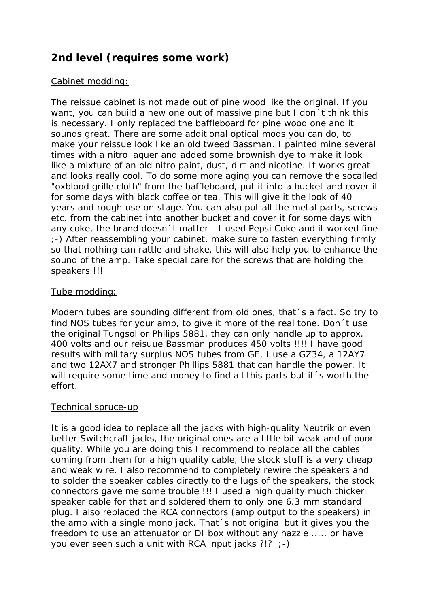## **2nd level (requires some work)**

### Cabinet modding:

The reissue cabinet is not made out of pine wood like the original. If you want, you can build a new one out of massive pine but I don´t think this is necessary. I only replaced the baffleboard for pine wood one and it sounds great. There are some additional optical mods you can do, to make your reissue look like an old tweed Bassman. I painted mine several times with a nitro laquer and added some brownish dye to make it look like a mixture of an old nitro paint, dust, dirt and nicotine. It works great and looks really cool. To do some more aging you can remove the socalled "oxblood grille cloth" from the baffleboard, put it into a bucket and cover it for some days with black coffee or tea. This will give it the look of 40 years and rough use on stage. You can also put all the metal parts, screws etc. from the cabinet into another bucket and cover it for some days with any coke, the brand doesn´t matter - I used Pepsi Coke and it worked fine ;-) After reassembling your cabinet, make sure to fasten everything firmly so that nothing can rattle and shake, this will also help you to enhance the sound of the amp. Take special care for the screws that are holding the speakers !!!

### Tube modding:

Modern tubes are sounding different from old ones, that´s a fact. So try to find NOS tubes for your amp, to give it more of the real tone. Don´t use the original Tungsol or Philips 5881, they can only handle up to approx. 400 volts and our reisuue Bassman produces 450 volts !!!! I have good results with military surplus NOS tubes from GE, I use a GZ34, a 12AY7 and two 12AX7 and stronger Phillips 5881 that can handle the power. It will require some time and money to find all this parts but it 's worth the effort.

#### Technical spruce-up

It is a good idea to replace all the jacks with high-quality Neutrik or even better Switchcraft jacks, the original ones are a little bit weak and of poor quality. While you are doing this I recommend to replace all the cables coming from them for a high quality cable, the stock stuff is a very cheap and weak wire. I also recommend to completely rewire the speakers and to solder the speaker cables directly to the lugs of the speakers, the stock connectors gave me some trouble !!! I used a high quality much thicker speaker cable for that and soldered them to only one 6.3 mm standard plug. I also replaced the RCA connectors (amp output to the speakers) in the amp with a single mono jack. That´s not original but it gives you the freedom to use an attenuator or DI box without any hazzle ..... or have you ever seen such a unit with RCA input jacks ?!? ;-)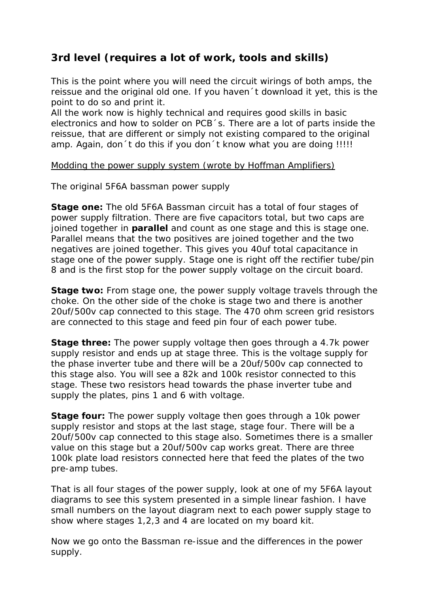## **3rd level (requires a lot of work, tools and skills)**

This is the point where you will need the circuit wirings of both amps, the reissue and the original old one. If you haven´t download it yet, this is the point to do so and print it.

All the work now is highly technical and requires good skills in basic electronics and how to solder on PCB´s. There are a lot of parts inside the reissue, that are different or simply not existing compared to the original amp. Again, don´t do this if you don´t know what you are doing !!!!!

### Modding the power supply system (wrote by Hoffman Amplifiers)

## *The original 5F6A bassman power supply*

**Stage one:** The old 5F6A Bassman circuit has a total of four stages of power supply filtration. There are five capacitors total, but two caps are joined together in **parallel** and count as one stage and this is stage one. Parallel means that the two positives are joined together and the two negatives are joined together. This gives you 40uf total capacitance in stage one of the power supply. Stage one is right off the rectifier tube/pin 8 and is the first stop for the power supply voltage on the circuit board.

**Stage two:** From stage one, the power supply voltage travels through the choke. On the other side of the choke is stage two and there is another 20uf/500v cap connected to this stage. The 470 ohm screen grid resistors are connected to this stage and feed pin four of each power tube.

**Stage three:** The power supply voltage then goes through a 4.7k power supply resistor and ends up at stage three. This is the voltage supply for the phase inverter tube and there will be a 20uf/500v cap connected to this stage also. You will see a 82k and 100k resistor connected to this stage. These two resistors head towards the phase inverter tube and supply the plates, pins 1 and 6 with voltage.

**Stage four:** The power supply voltage then goes through a 10k power supply resistor and stops at the last stage, stage four. There will be a 20uf/500v cap connected to this stage also. Sometimes there is a smaller value on this stage but a 20uf/500v cap works great. There are three 100k plate load resistors connected here that feed the plates of the two pre-amp tubes.

That is all four stages of the power supply, look at one of my 5F6A layout diagrams to see this system presented in a simple linear fashion. I have small numbers on the layout diagram next to each power supply stage to show where stages 1,2,3 and 4 are located on my board kit.

Now we go onto the Bassman re-issue and the differences in the power supply.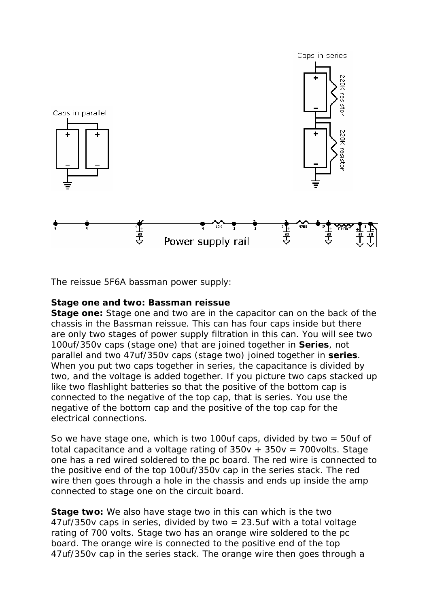

*The reissue 5F6A bassman power supply:*

#### **Stage one and two: Bassman reissue**

**Stage one:** Stage one and two are in the capacitor can on the back of the chassis in the Bassman reissue. This can has four caps inside but there are only two stages of power supply filtration in this can. You will see two 100uf/350v caps (stage one) that are joined together in **Series**, not parallel and two 47uf/350v caps (stage two) joined together in **series**. When you put two caps together in series, the capacitance is divided by two, and the voltage is added together. If you picture two caps stacked up like two flashlight batteries so that the positive of the bottom cap is connected to the negative of the top cap, that is series. You use the negative of the bottom cap and the positive of the top cap for the electrical connections.

So we have stage one, which is two 100uf caps, divided by two  $=$  50uf of total capacitance and a voltage rating of  $350v + 350v = 700v$ olts. Stage one has a red wired soldered to the pc board. The red wire is connected to the positive end of the top 100uf/350v cap in the series stack. The red wire then goes through a hole in the chassis and ends up inside the amp connected to stage one on the circuit board.

**Stage two:** We also have stage two in this can which is the two  $47$ uf/350v caps in series, divided by two = 23.5uf with a total voltage rating of 700 volts. Stage two has an orange wire soldered to the pc board. The orange wire is connected to the positive end of the top 47uf/350v cap in the series stack. The orange wire then goes through a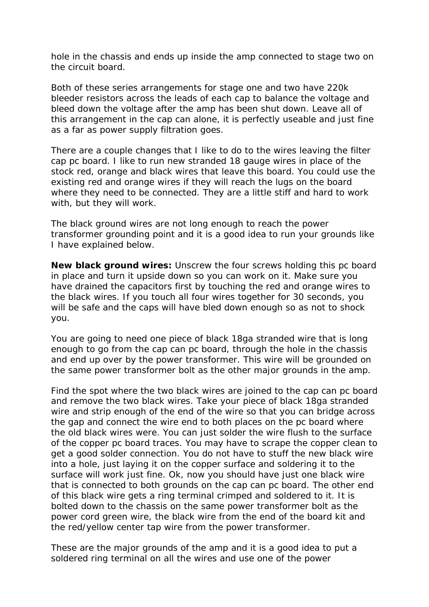hole in the chassis and ends up inside the amp connected to stage two on the circuit board.

Both of these series arrangements for stage one and two have 220k bleeder resistors across the leads of each cap to balance the voltage and bleed down the voltage after the amp has been shut down. Leave all of this arrangement in the cap can alone, it is perfectly useable and just fine as a far as power supply filtration goes.

There are a couple changes that I like to do to the wires leaving the filter cap pc board. I like to run new stranded 18 gauge wires in place of the stock red, orange and black wires that leave this board. You could use the existing red and orange wires if they will reach the lugs on the board where they need to be connected. They are a little stiff and hard to work with, but they will work.

The black ground wires are not long enough to reach the power transformer grounding point and it is a good idea to run your grounds like I have explained below.

**New black ground wires:** Unscrew the four screws holding this pc board in place and turn it upside down so you can work on it. Make sure you have drained the capacitors first by touching the red and orange wires to the black wires. If you touch all four wires together for 30 seconds, you will be safe and the caps will have bled down enough so as not to shock you.

You are going to need one piece of black 18ga stranded wire that is long enough to go from the cap can pc board, through the hole in the chassis and end up over by the power transformer. This wire will be grounded on the same power transformer bolt as the other major grounds in the amp.

Find the spot where the two black wires are joined to the cap can pc board and remove the two black wires. Take your piece of black 18ga stranded wire and strip enough of the end of the wire so that you can bridge across the gap and connect the wire end to both places on the pc board where the old black wires were. You can just solder the wire flush to the surface of the copper pc board traces. You may have to scrape the copper clean to get a good solder connection. You do not have to stuff the new black wire into a hole, just laying it on the copper surface and soldering it to the surface will work just fine. Ok, now you should have just one black wire that is connected to both grounds on the cap can pc board. The other end of this black wire gets a ring terminal crimped and soldered to it. It is bolted down to the chassis on the same power transformer bolt as the power cord green wire, the black wire from the end of the board kit and the red/yellow center tap wire from the power transformer.

These are the major grounds of the amp and it is a good idea to put a soldered ring terminal on all the wires and use one of the power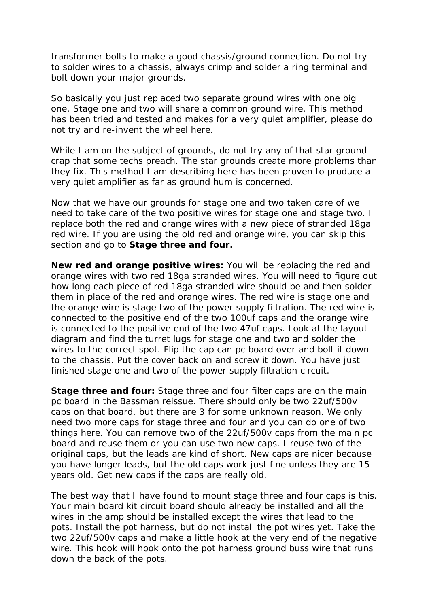transformer bolts to make a good chassis/ground connection. Do not try to solder wires to a chassis, always crimp and solder a ring terminal and bolt down your major grounds.

So basically you just replaced two separate ground wires with one big one. Stage one and two will share a common ground wire. This method has been tried and tested and makes for a very quiet amplifier, please do not try and re-invent the wheel here.

While I am on the subject of grounds, do not try any of that star ground crap that some techs preach. The star grounds create more problems than they fix. This method I am describing here has been proven to produce a very quiet amplifier as far as ground hum is concerned.

Now that we have our grounds for stage one and two taken care of we need to take care of the two positive wires for stage one and stage two. I replace both the red and orange wires with a new piece of stranded 18ga red wire. If you are using the old red and orange wire, you can skip this section and go to **Stage three and four.**

**New red and orange positive wires:** You will be replacing the red and orange wires with two red 18ga stranded wires. You will need to figure out how long each piece of red 18ga stranded wire should be and then solder them in place of the red and orange wires. The red wire is stage one and the orange wire is stage two of the power supply filtration. The red wire is connected to the positive end of the two 100uf caps and the orange wire is connected to the positive end of the two 47uf caps. Look at the layout diagram and find the turret lugs for stage one and two and solder the wires to the correct spot. Flip the cap can pc board over and bolt it down to the chassis. Put the cover back on and screw it down. You have just finished stage one and two of the power supply filtration circuit.

**Stage three and four:** Stage three and four filter caps are on the main pc board in the Bassman reissue. There should only be two 22uf/500v caps on that board, but there are 3 for some unknown reason. We only need two more caps for stage three and four and you can do one of two things here. You can remove two of the 22uf/500v caps from the main pc board and reuse them or you can use two new caps. I reuse two of the original caps, but the leads are kind of short. New caps are nicer because you have longer leads, but the old caps work just fine unless they are 15 years old. Get new caps if the caps are really old.

The best way that I have found to mount stage three and four caps is this. Your main board kit circuit board should already be installed and all the wires in the amp should be installed except the wires that lead to the pots. Install the pot harness, but do not install the pot wires yet. Take the two 22uf/500v caps and make a little hook at the very end of the negative wire. This hook will hook onto the pot harness ground buss wire that runs down the back of the pots.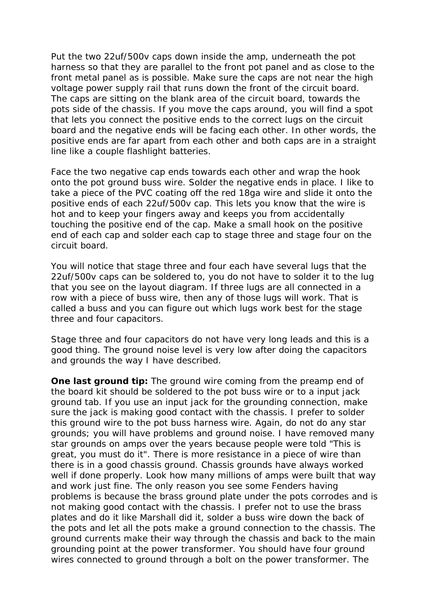Put the two 22uf/500v caps down inside the amp, underneath the pot harness so that they are parallel to the front pot panel and as close to the front metal panel as is possible. Make sure the caps are not near the high voltage power supply rail that runs down the front of the circuit board. The caps are sitting on the blank area of the circuit board, towards the pots side of the chassis. If you move the caps around, you will find a spot that lets you connect the positive ends to the correct lugs on the circuit board and the negative ends will be facing each other. In other words, the positive ends are far apart from each other and both caps are in a straight line like a couple flashlight batteries.

Face the two negative cap ends towards each other and wrap the hook onto the pot ground buss wire. Solder the negative ends in place. I like to take a piece of the PVC coating off the red 18ga wire and slide it onto the positive ends of each 22uf/500v cap. This lets you know that the wire is hot and to keep your fingers away and keeps you from accidentally touching the positive end of the cap. Make a small hook on the positive end of each cap and solder each cap to stage three and stage four on the circuit board.

You will notice that stage three and four each have several lugs that the 22uf/500v caps can be soldered to, you do not have to solder it to the lug that you see on the layout diagram. If three lugs are all connected in a row with a piece of buss wire, then any of those lugs will work. That is called a buss and you can figure out which lugs work best for the stage three and four capacitors.

Stage three and four capacitors do not have very long leads and this is a good thing. The ground noise level is very low after doing the capacitors and grounds the way I have described.

**One last ground tip:** The ground wire coming from the preamp end of the board kit should be soldered to the pot buss wire or to a input jack ground tab. If you use an input jack for the grounding connection, make sure the jack is making good contact with the chassis. I prefer to solder this ground wire to the pot buss harness wire. Again, do not do any star grounds; you will have problems and ground noise. I have removed many star grounds on amps over the years because people were told "This is great, you must do it". There is more resistance in a piece of wire than there is in a good chassis ground. Chassis grounds have always worked well if done properly. Look how many millions of amps were built that way and work just fine. The only reason you see some Fenders having problems is because the brass ground plate under the pots corrodes and is not making good contact with the chassis. I prefer not to use the brass plates and do it like Marshall did it, solder a buss wire down the back of the pots and let all the pots make a ground connection to the chassis. The ground currents make their way through the chassis and back to the main grounding point at the power transformer. You should have four ground wires connected to ground through a bolt on the power transformer. The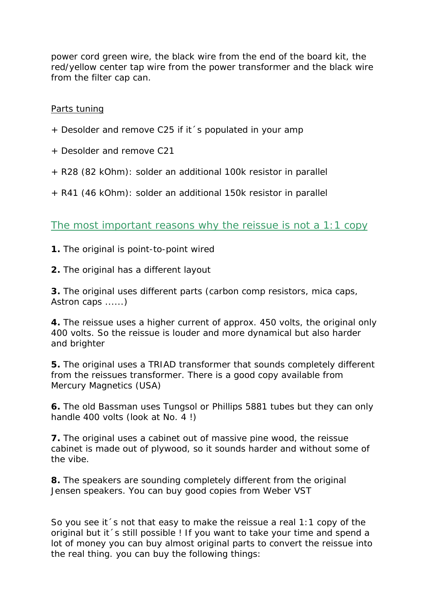power cord green wire, the black wire from the end of the board kit, the red/yellow center tap wire from the power transformer and the black wire from the filter cap can.

## Parts tuning

- + Desolder and remove C25 if it´s populated in your amp
- + Desolder and remove C21
- + R28 (82 kOhm): solder an additional 100k resistor in parallel
- + R41 (46 kOhm): solder an additional 150k resistor in parallel

The most important reasons why the reissue is not a 1:1 copy

- **1.** The original is point-to-point wired
- **2.** The original has a different layout

**3.** The original uses different parts (carbon comp resistors, mica caps, Astron caps ......)

**4.** The reissue uses a higher current of approx. 450 volts, the original only 400 volts. So the reissue is louder and more dynamical but also harder and brighter

**5.** The original uses a TRIAD transformer that sounds completely different from the reissues transformer. There is a good copy available from Mercury Magnetics (USA)

**6.** The old Bassman uses Tungsol or Phillips 5881 tubes but they can only handle 400 volts (look at No. 4 !)

**7.** The original uses a cabinet out of massive pine wood, the reissue cabinet is made out of plywood, so it sounds harder and without some of the vibe.

**8.** The speakers are sounding completely different from the original Jensen speakers. You can buy good copies from Weber VST

So you see it´s not that easy to make the reissue a real 1:1 copy of the original but it´s still possible ! If you want to take your time and spend a lot of money you can buy almost original parts to convert the reissue into the real thing. you can buy the following things: